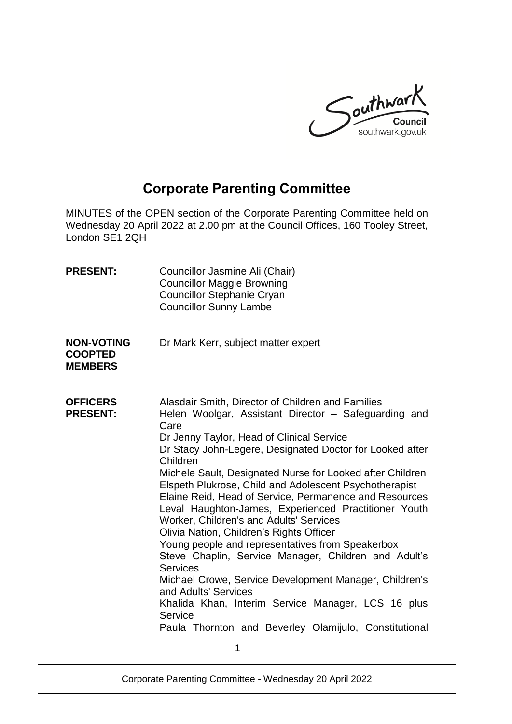

# **Corporate Parenting Committee**

MINUTES of the OPEN section of the Corporate Parenting Committee held on Wednesday 20 April 2022 at 2.00 pm at the Council Offices, 160 Tooley Street, London SE1 2QH

| <b>PRESENT:</b>                                       | Councillor Jasmine Ali (Chair)<br><b>Councillor Maggie Browning</b><br><b>Councillor Stephanie Cryan</b><br><b>Councillor Sunny Lambe</b>                                                                                                                                                                                                                                                                                                                                                                                                                                                                                                                                                                                                                                                                                                                                                                              |
|-------------------------------------------------------|------------------------------------------------------------------------------------------------------------------------------------------------------------------------------------------------------------------------------------------------------------------------------------------------------------------------------------------------------------------------------------------------------------------------------------------------------------------------------------------------------------------------------------------------------------------------------------------------------------------------------------------------------------------------------------------------------------------------------------------------------------------------------------------------------------------------------------------------------------------------------------------------------------------------|
| <b>NON-VOTING</b><br><b>COOPTED</b><br><b>MEMBERS</b> | Dr Mark Kerr, subject matter expert                                                                                                                                                                                                                                                                                                                                                                                                                                                                                                                                                                                                                                                                                                                                                                                                                                                                                    |
| <b>OFFICERS</b><br><b>PRESENT:</b>                    | Alasdair Smith, Director of Children and Families<br>Helen Woolgar, Assistant Director - Safeguarding and<br>Care<br>Dr Jenny Taylor, Head of Clinical Service<br>Dr Stacy John-Legere, Designated Doctor for Looked after<br>Children<br>Michele Sault, Designated Nurse for Looked after Children<br>Elspeth Plukrose, Child and Adolescent Psychotherapist<br>Elaine Reid, Head of Service, Permanence and Resources<br>Leval Haughton-James, Experienced Practitioner Youth<br>Worker, Children's and Adults' Services<br>Olivia Nation, Children's Rights Officer<br>Young people and representatives from Speakerbox<br>Steve Chaplin, Service Manager, Children and Adult's<br><b>Services</b><br>Michael Crowe, Service Development Manager, Children's<br>and Adults' Services<br>Khalida Khan, Interim Service Manager, LCS 16 plus<br>Service<br>Paula Thornton and Beverley Olamijulo, Constitutional<br>1 |
|                                                       |                                                                                                                                                                                                                                                                                                                                                                                                                                                                                                                                                                                                                                                                                                                                                                                                                                                                                                                        |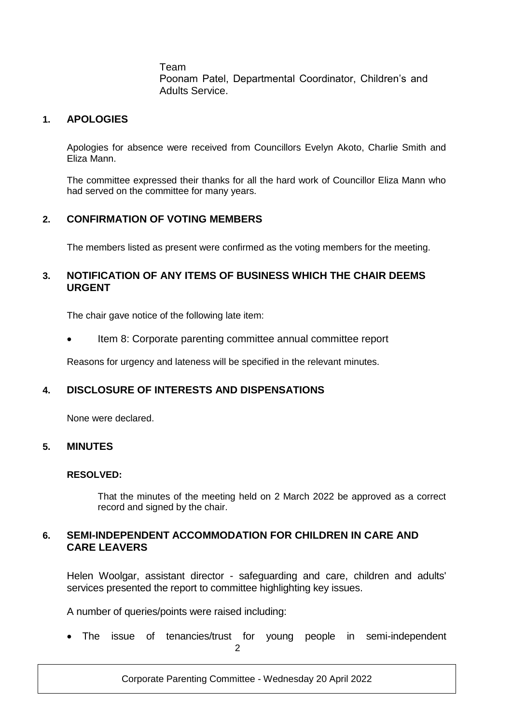Team Poonam Patel, Departmental Coordinator, Children's and Adults Service.

#### **1. APOLOGIES**

Apologies for absence were received from Councillors Evelyn Akoto, Charlie Smith and Eliza Mann.

The committee expressed their thanks for all the hard work of Councillor Eliza Mann who had served on the committee for many years.

#### **2. CONFIRMATION OF VOTING MEMBERS**

The members listed as present were confirmed as the voting members for the meeting.

#### **3. NOTIFICATION OF ANY ITEMS OF BUSINESS WHICH THE CHAIR DEEMS URGENT**

The chair gave notice of the following late item:

Item 8: Corporate parenting committee annual committee report

Reasons for urgency and lateness will be specified in the relevant minutes.

# **4. DISCLOSURE OF INTERESTS AND DISPENSATIONS**

None were declared.

#### **5. MINUTES**

#### **RESOLVED:**

That the minutes of the meeting held on 2 March 2022 be approved as a correct record and signed by the chair.

# **6. SEMI-INDEPENDENT ACCOMMODATION FOR CHILDREN IN CARE AND CARE LEAVERS**

Helen Woolgar, assistant director - safeguarding and care, children and adults' services presented the report to committee highlighting key issues.

A number of queries/points were raised including:

 $\Omega$ The issue of tenancies/trust for young people in semi-independent

Corporate Parenting Committee - Wednesday 20 April 2022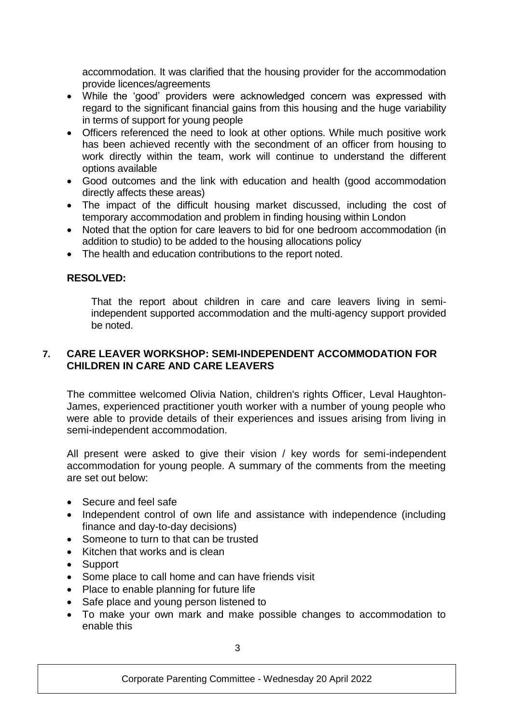accommodation. It was clarified that the housing provider for the accommodation provide licences/agreements

- While the 'good' providers were acknowledged concern was expressed with regard to the significant financial gains from this housing and the huge variability in terms of support for young people
- Officers referenced the need to look at other options. While much positive work has been achieved recently with the secondment of an officer from housing to work directly within the team, work will continue to understand the different options available
- Good outcomes and the link with education and health (good accommodation directly affects these areas)
- The impact of the difficult housing market discussed, including the cost of temporary accommodation and problem in finding housing within London
- Noted that the option for care leavers to bid for one bedroom accommodation (in addition to studio) to be added to the housing allocations policy
- The health and education contributions to the report noted.

# **RESOLVED:**

That the report about children in care and care leavers living in semiindependent supported accommodation and the multi-agency support provided be noted.

## **7. CARE LEAVER WORKSHOP: SEMI-INDEPENDENT ACCOMMODATION FOR CHILDREN IN CARE AND CARE LEAVERS**

The committee welcomed Olivia Nation, children's rights Officer, Leval Haughton-James, experienced practitioner youth worker with a number of young people who were able to provide details of their experiences and issues arising from living in semi-independent accommodation.

All present were asked to give their vision / key words for semi-independent accommodation for young people. A summary of the comments from the meeting are set out below:

- Secure and feel safe
- Independent control of own life and assistance with independence (including finance and day-to-day decisions)
- Someone to turn to that can be trusted
- Kitchen that works and is clean
- Support
- Some place to call home and can have friends visit
- Place to enable planning for future life
- Safe place and young person listened to
- To make your own mark and make possible changes to accommodation to enable this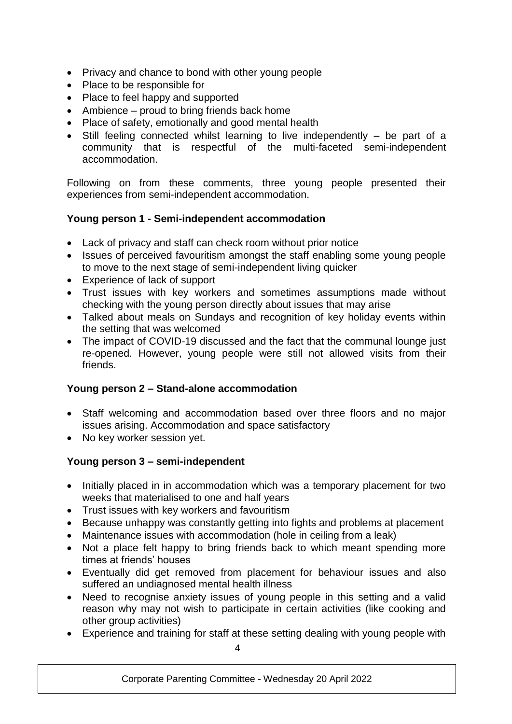- Privacy and chance to bond with other young people
- Place to be responsible for
- Place to feel happy and supported
- Ambience proud to bring friends back home
- Place of safety, emotionally and good mental health
- Still feeling connected whilst learning to live independently be part of a community that is respectful of the multi-faceted semi-independent accommodation.

Following on from these comments, three young people presented their experiences from semi-independent accommodation.

# **Young person 1 - Semi-independent accommodation**

- Lack of privacy and staff can check room without prior notice
- Issues of perceived favouritism amongst the staff enabling some young people to move to the next stage of semi-independent living quicker
- Experience of lack of support
- Trust issues with key workers and sometimes assumptions made without checking with the young person directly about issues that may arise
- Talked about meals on Sundays and recognition of key holiday events within the setting that was welcomed
- The impact of COVID-19 discussed and the fact that the communal lounge just re-opened. However, young people were still not allowed visits from their friends.

# **Young person 2 – Stand-alone accommodation**

- Staff welcoming and accommodation based over three floors and no major issues arising. Accommodation and space satisfactory
- No key worker session yet.

# **Young person 3 – semi-independent**

- Initially placed in in accommodation which was a temporary placement for two weeks that materialised to one and half years
- Trust issues with key workers and favouritism
- Because unhappy was constantly getting into fights and problems at placement
- Maintenance issues with accommodation (hole in ceiling from a leak)
- Not a place felt happy to bring friends back to which meant spending more times at friends' houses
- Eventually did get removed from placement for behaviour issues and also suffered an undiagnosed mental health illness
- Need to recognise anxiety issues of young people in this setting and a valid reason why may not wish to participate in certain activities (like cooking and other group activities)
- Experience and training for staff at these setting dealing with young people with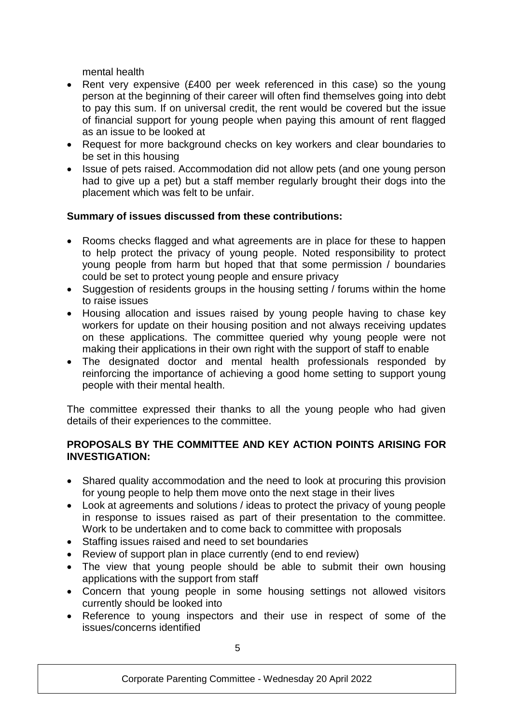mental health

- Rent very expensive (£400 per week referenced in this case) so the young person at the beginning of their career will often find themselves going into debt to pay this sum. If on universal credit, the rent would be covered but the issue of financial support for young people when paying this amount of rent flagged as an issue to be looked at
- Request for more background checks on key workers and clear boundaries to be set in this housing
- Issue of pets raised. Accommodation did not allow pets (and one young person had to give up a pet) but a staff member regularly brought their dogs into the placement which was felt to be unfair.

# **Summary of issues discussed from these contributions:**

- Rooms checks flagged and what agreements are in place for these to happen to help protect the privacy of young people. Noted responsibility to protect young people from harm but hoped that that some permission / boundaries could be set to protect young people and ensure privacy
- Suggestion of residents groups in the housing setting / forums within the home to raise issues
- Housing allocation and issues raised by young people having to chase key workers for update on their housing position and not always receiving updates on these applications. The committee queried why young people were not making their applications in their own right with the support of staff to enable
- The designated doctor and mental health professionals responded by reinforcing the importance of achieving a good home setting to support young people with their mental health.

The committee expressed their thanks to all the young people who had given details of their experiences to the committee.

## **PROPOSALS BY THE COMMITTEE AND KEY ACTION POINTS ARISING FOR INVESTIGATION:**

- Shared quality accommodation and the need to look at procuring this provision for young people to help them move onto the next stage in their lives
- Look at agreements and solutions / ideas to protect the privacy of young people in response to issues raised as part of their presentation to the committee. Work to be undertaken and to come back to committee with proposals
- Staffing issues raised and need to set boundaries
- Review of support plan in place currently (end to end review)
- The view that young people should be able to submit their own housing applications with the support from staff
- Concern that young people in some housing settings not allowed visitors currently should be looked into
- Reference to young inspectors and their use in respect of some of the issues/concerns identified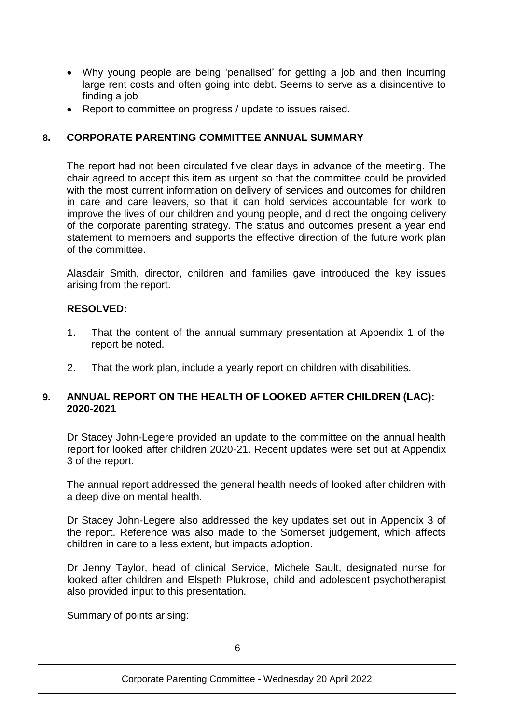- Why young people are being 'penalised' for getting a job and then incurring large rent costs and often going into debt. Seems to serve as a disincentive to finding a job
- Report to committee on progress / update to issues raised.

# **8. CORPORATE PARENTING COMMITTEE ANNUAL SUMMARY**

The report had not been circulated five clear days in advance of the meeting. The chair agreed to accept this item as urgent so that the committee could be provided with the most current information on delivery of services and outcomes for children in care and care leavers, so that it can hold services accountable for work to improve the lives of our children and young people, and direct the ongoing delivery of the corporate parenting strategy. The status and outcomes present a year end statement to members and supports the effective direction of the future work plan of the committee.

Alasdair Smith, director, children and families gave introduced the key issues arising from the report.

#### **RESOLVED:**

- 1. That the content of the annual summary presentation at Appendix 1 of the report be noted.
- 2. That the work plan, include a yearly report on children with disabilities.

#### **9. ANNUAL REPORT ON THE HEALTH OF LOOKED AFTER CHILDREN (LAC): 2020-2021**

Dr Stacey John-Legere provided an update to the committee on the annual health report for looked after children 2020-21. Recent updates were set out at Appendix 3 of the report.

The annual report addressed the general health needs of looked after children with a deep dive on mental health.

Dr Stacey John-Legere also addressed the key updates set out in Appendix 3 of the report. Reference was also made to the Somerset judgement, which affects children in care to a less extent, but impacts adoption.

Dr Jenny Taylor, head of clinical Service, Michele Sault, designated nurse for looked after children and Elspeth Plukrose, child and adolescent psychotherapist also provided input to this presentation.

Summary of points arising: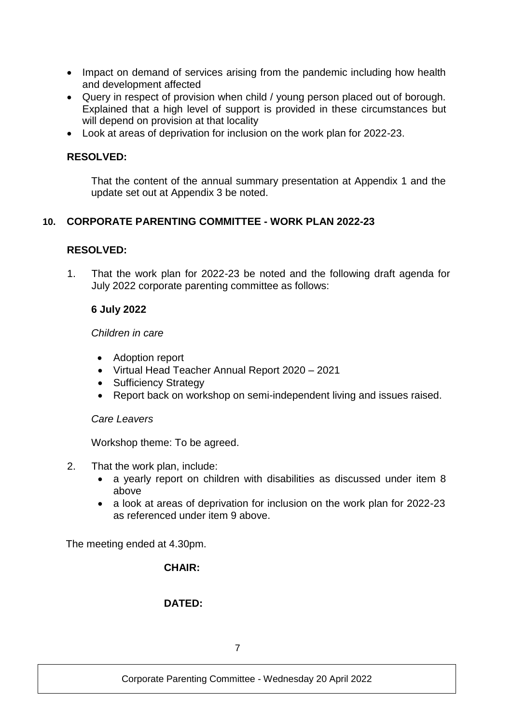- Impact on demand of services arising from the pandemic including how health and development affected
- Query in respect of provision when child / young person placed out of borough. Explained that a high level of support is provided in these circumstances but will depend on provision at that locality
- Look at areas of deprivation for inclusion on the work plan for 2022-23.

## **RESOLVED:**

That the content of the annual summary presentation at Appendix 1 and the update set out at Appendix 3 be noted.

# **10. CORPORATE PARENTING COMMITTEE - WORK PLAN 2022-23**

#### **RESOLVED:**

1. That the work plan for 2022-23 be noted and the following draft agenda for 6 July 2022 corporate parenting committee as follows:

#### **6 July 2022**

#### *Children in care*

- Adoption report
- Virtual Head Teacher Annual Report 2020 2021
- Sufficiency Strategy
- Report back on workshop on semi-independent living and issues raised.

#### *Care Leavers*

Workshop theme: To be agreed.

- 2. That the work plan, include:
	- a yearly report on children with disabilities as discussed under item 8 above
	- a look at areas of deprivation for inclusion on the work plan for 2022-23 as referenced under item 9 above.

The meeting ended at 4.30pm.

#### **CHAIR:**

# **DATED:**